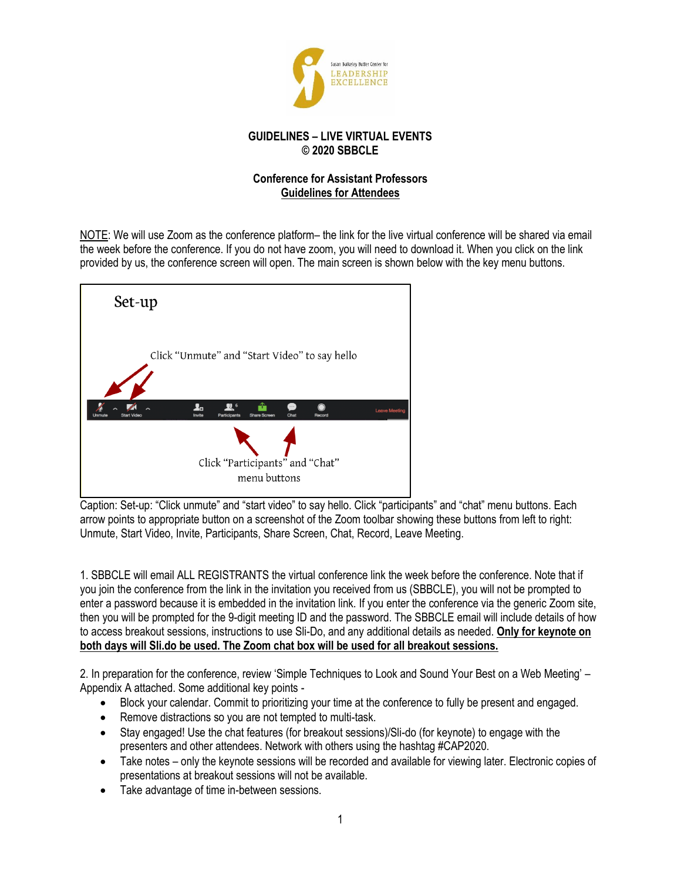

## **GUIDELINES – LIVE VIRTUAL EVENTS © 2020 SBBCLE**

## **Conference for Assistant Professors Guidelines for Attendees**

NOTE: We will use Zoom as the conference platform– the link for the live virtual conference will be shared via email the week before the conference. If you do not have zoom, you will need to download it. When you click on the link provided by us, the conference screen will open. The main screen is shown below with the key menu buttons.



Caption: Set-up: "Click unmute" and "start video" to say hello. Click "participants" and "chat" menu buttons. Each arrow points to appropriate button on a screenshot of the Zoom toolbar showing these buttons from left to right: Unmute, Start Video, Invite, Participants, Share Screen, Chat, Record, Leave Meeting.

1. SBBCLE will email ALL REGISTRANTS the virtual conference link the week before the conference. Note that if you join the conference from the link in the invitation you received from us (SBBCLE), you will not be prompted to enter a password because it is embedded in the invitation link. If you enter the conference via the generic Zoom site, then you will be prompted for the 9-digit meeting ID and the password. The SBBCLE email will include details of how to access breakout sessions, instructions to use Sli-Do, and any additional details as needed. **Only for keynote on both days will Sli.do be used. The Zoom chat box will be used for all breakout sessions.**

2. In preparation for the conference, review 'Simple Techniques to Look and Sound Your Best on a Web Meeting' – Appendix A attached. Some additional key points -

- Block your calendar. Commit to prioritizing your time at the conference to fully be present and engaged.
- Remove distractions so you are not tempted to multi-task.
- Stay engaged! Use the chat features (for breakout sessions)/Sli-do (for keynote) to engage with the presenters and other attendees. Network with others using the hashtag #CAP2020.
- Take notes only the keynote sessions will be recorded and available for viewing later. Electronic copies of presentations at breakout sessions will not be available.
- Take advantage of time in-between sessions.